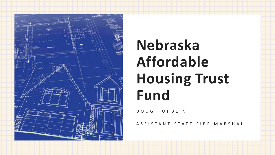

# **Nebraska Affordable Housing Trust Fund**

DOUG HOHBEIN

ASSISTANT STATE FIRE MARSHAL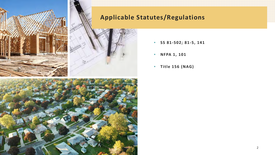

### **Applicable Statutes/Regulations**





- **SS 81-502; 81-5, 141**
- **NFPA 1, 101**
- **Title 156 (NAG)**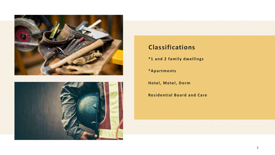

### **Classifications**

**\*1 and 2 family dwellings**

**\*Apartments**

**Hotel, Motel, Dorm**

**Residential Board and Care**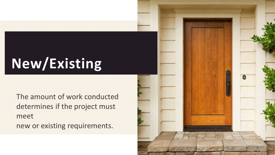## **New/Existing**

The amount of work conducted determines if the project must meet new or existing requirements.

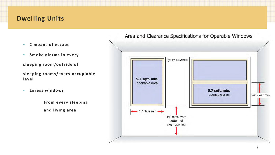### **Dwelling Units**

- **2 means of escape**
- **Smoke alarms in every**
- **sleeping room/outside of**

**sleeping rooms/every occupiable level**

• **Egress windows**

**From every sleeping and living area**

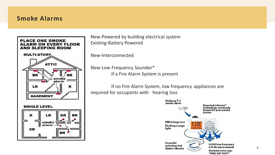### **Smoke Alarms**



New-Powered by building electrical system Existing-Battery Powered

New-Interconnected

New-Low Frequency Sounder\* If a Fire Alarm System is present

If no Fire Alarm System, low frequency appliances are required for occupants with hearing loss

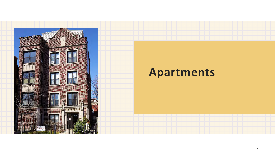

### **Apartments**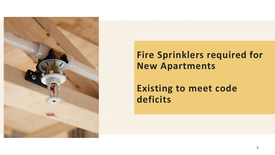

### **Fire Sprinklers required for New Apartments**

### **Existing to meet code deficits**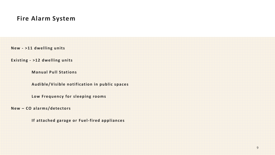#### **Fire Alarm System**

**New - >11 dwelling units**

**Existing - >12 dwelling units**

**Manual Pull Stations**

**Audible/Visible notification in public spaces**

**Low Frequency for sleeping rooms**

**New – CO alarms/detectors** 

**If attached garage or Fuel-fired appliances**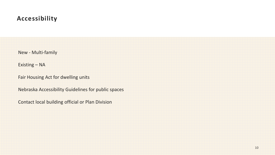### **Accessibility**

New - Multi-family

Existing – NA

Fair Housing Act for dwelling units

Nebraska Accessibility Guidelines for public spaces

Contact local building official or Plan Division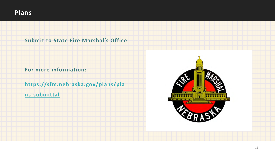#### **Submit to State Fire Marshal's Office**

**For more information:**

**[https://sfm.nebraska.gov/plans/pla](https://sfm.nebraska.gov/plans/plans-submittal)**

**ns-submittal**